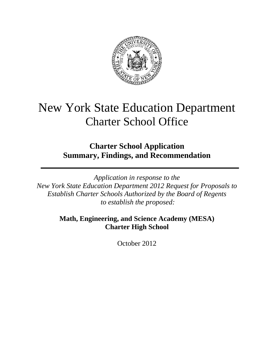

# New York State Education Department Charter School Office

# **Charter School Application Summary, Findings, and Recommendation**

*Application in response to the New York State Education Department 2012 Request for Proposals to Establish Charter Schools Authorized by the Board of Regents to establish the proposed:* 

> **Math, Engineering, and Science Academy (MESA) Charter High School**

> > October 2012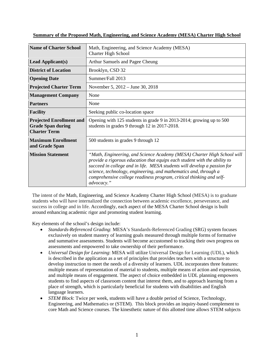| <b>Name of Charter School</b>                                                      | Math, Engineering, and Science Academy (MESA)<br><b>Charter High School</b>                                                                                                                                                                                                                                                                                                                |  |  |  |
|------------------------------------------------------------------------------------|--------------------------------------------------------------------------------------------------------------------------------------------------------------------------------------------------------------------------------------------------------------------------------------------------------------------------------------------------------------------------------------------|--|--|--|
| <b>Lead Applicant(s)</b>                                                           | Arthur Samuels and Pagee Cheung                                                                                                                                                                                                                                                                                                                                                            |  |  |  |
| <b>District of Location</b>                                                        | Brooklyn, CSD 32                                                                                                                                                                                                                                                                                                                                                                           |  |  |  |
| <b>Opening Date</b>                                                                | Summer/Fall 2013                                                                                                                                                                                                                                                                                                                                                                           |  |  |  |
| <b>Projected Charter Term</b>                                                      | November 5, 2012 – June 30, 2018                                                                                                                                                                                                                                                                                                                                                           |  |  |  |
| <b>Management Company</b>                                                          | None                                                                                                                                                                                                                                                                                                                                                                                       |  |  |  |
| <b>Partners</b>                                                                    | None                                                                                                                                                                                                                                                                                                                                                                                       |  |  |  |
| <b>Facility</b>                                                                    | Seeking public co-location space                                                                                                                                                                                                                                                                                                                                                           |  |  |  |
| <b>Projected Enrollment and</b><br><b>Grade Span during</b><br><b>Charter Term</b> | Opening with 125 students in grade 9 in 2013-2014; growing up to 500<br>students in grades 9 through 12 in 2017-2018.                                                                                                                                                                                                                                                                      |  |  |  |
| <b>Maximum Enrollment</b><br>and Grade Span                                        | 500 students in grades 9 through 12                                                                                                                                                                                                                                                                                                                                                        |  |  |  |
| <b>Mission Statement</b>                                                           | "Math, Engineering, and Science Academy (MESA) Charter High School will<br>provide a rigorous education that equips each student with the ability to<br>succeed in college and in life. MESA students will develop a passion for<br>science, technology, engineering, and mathematics and, through a<br>comprehensive college readiness program, critical thinking and self-<br>advocacy." |  |  |  |

**Summary of the Proposed Math, Engineering, and Science Academy (MESA) Charter High School**

The intent of the Math, Engineering, and Science Academy Charter High School (MESA) is to graduate students who will have internalized the connection between academic excellence, perseverance, and success in college and in life. Accordingly, each aspect of the MESA Charter School design is built around enhancing academic rigor and promoting student learning.

Key elements of the school's design include:

- *Standards-Referenced Grading*: MESA's Standards-Referenced Grading (SRG) system focuses exclusively on student mastery of learning goals measured through multiple forms of formative and summative assessments. Students will become accustomed to tracking their own progress on assessments and empowered to take ownership of their performance.
- *Universal Design for Learning*: MESA will utilize Universal Design for Learning (UDL), which is described in the application as a set of principles that provides teachers with a structure to develop instruction to meet the needs of a diversity of learners. UDL incorporates three features: multiple means of representation of material to students, multiple means of action and expression, and multiple means of engagement. The aspect of choice embedded in UDL planning empowers students to find aspects of classroom content that interest them, and to approach learning from a place of strength, which is particularly beneficial for students with disabilities and English language learners.
- *STEM Block*: Twice per week, students will have a double period of Science, Technology, Engineering, and Mathematics or (STEM). This block provides an inquiry-based complement to core Math and Science courses. The kinesthetic nature of this allotted time allows STEM subjects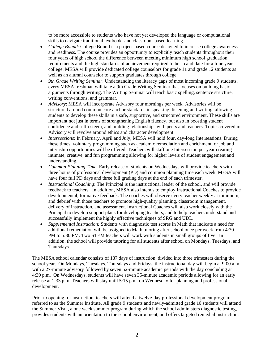to be more accessible to students who have not yet developed the language or computational skills to navigate traditional textbook- and classroom-based learning.

- *College Bound*: College Bound is a project-based course designed to increase college awareness and readiness. The course provides an opportunity to explicitly teach students throughout their four years of high school the difference between meeting minimum high school graduation requirements and the high standards of achievement required to be a candidate for a four-year college. MESA will provide dedicated college counselors for grade 11 and grade 12 students as well as an alumni counselor to support graduates through college.
- *9th Grade Writing Seminar*: Understanding the literacy gaps of most incoming grade 9 students, every MESA freshman will take a 9th Grade Writing Seminar that focuses on building basic arguments through writing. The Writing Seminar will teach basic spelling, sentence structure, writing conventions, and grammar.
- *Advisory*: MESA will incorporate Advisory four mornings per week. Advisories will be structured around common core anchor standards in speaking, listening and writing, allowing students to develop these skills in a safe, supportive, and structured environment. These skills are important not just in terms of strengthening English fluency, but also in boosting student confidence and self-esteem, and building relationships with peers and teachers. Topics covered in Advisory will revolve around ethics and character development.
- *Intersessions*: In February, April and July, MESA will hold four, day-long Intersessions. During these times, voluntary programming such as academic remediation and enrichment, or job and internship opportunities will be offered. Teachers will staff one Intersession per year creating intimate, creative, and fun programming allowing for higher levels of student engagement and understanding.
- *Common Planning Time*: Early release of students on Wednesdays will provide teachers with three hours of professional development (PD) and common planning time each week. MESA will have four full PD days and three full grading days at the end of each trimester.
- *Instructional Coaching*: The Principal is the instructional leader of the school, and will provide feedback to teachers. In addition, MESA also intends to employ Instructional Coaches to provide developmental, formative feedback. The coaches will observe every teacher weekly at minimum, and debrief with those teachers to promote high-quality planning, classroom management, delivery of instruction, and assessment. Instructional Coaches will also work closely with the Principal to develop support plans for developing teachers, and to help teachers understand and successfully implement the highly effective techniques of SRG and UDL.
- *Supplemental Instruction:* Students with diagnostic test scores in Math that indicate a need for additional remediation will be assigned to Math tutoring after school once per week from 4:30 PM to 5:30 PM. Two STEM teachers will work with students in small groups of five. In addition, the school will provide tutoring for all students after school on Mondays, Tuesdays, and Thursdays.

The MESA school calendar consists of 187 days of instruction, divided into three trimesters during the school year. On Mondays, Tuesdays, Thursdays and Fridays, the instructional day will begin at 9:00 a.m. with a 27-minute advisory followed by seven 52-minute academic periods with the day concluding at 4:30 p.m. On Wednesdays, students will have seven 35-minute academic periods allowing for an early release at 1:33 p.m. Teachers will stay until 5:15 p.m. on Wednesday for planning and professional development.

Prior to opening for instruction, teachers will attend a twelve-day professional development program referred to as the Summer Institute. All grade 9 students and newly-admitted grade 10 students will attend the Summer Vista**,** a one week summer program during which the school administers diagnostic testing, provides students with an orientation to the school environment, and offers targeted remedial instruction.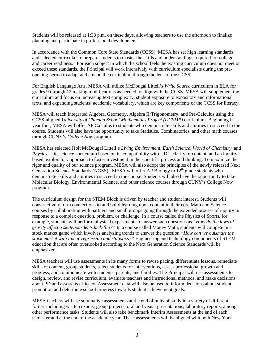Students will be released at 1:33 p.m. on these days, allowing teachers to use the afternoon to finalize planning and participate in professional development.

In accordance with the Common Core State Standards (CCSS), MESA has set high learning standards and selected curricula "to prepare students to master the skills and understandings required for college and career readiness." For each subject in which the school feels the existing curriculum does not meet or exceed these standards, the Principal will work intensively with curriculum specialists during the preopening period to adapt and amend the curriculum through the lens of the CCSS.

For English Language Arts, MESA will utilize McDougal Littell's *Write Source* curriculum in ELA for grades 9 through 12 making modifications as needed to align with the CCSS. MESA will supplement the curriculum and focus on increasing text complexity, student exposure to expository and informational texts, and expanding students' academic vocabulary, which are key components of the CCSS for literacy.

MESA will teach Integrated Algebra, Geometry, Algebra II/Trigonometry, and Pre-Calculus using the CCSS-aligned *University of Chicago School Mathematics Project (UCSMP)* curriculum. Beginning in year four, MESA will offer AP Calculus to students who demonstrate skills and abilities to succeed in the course. Students will also have the opportunity to take Statistics, Combinatorics, and other math courses through CUNY's *College Now* program.

MESA has selected Holt McDougal Littell's *Living Environment*, *Earth Science*, *World of Chemistry*, and *Physics* as its science curriculum based on its compatibility with UDL, clarity of content, and an inquirybased, exploratory approach to foster investment in the scientific process and thinking. To maximize the rigor and quality of our science program, MESA will also adopt the principles of the newly released Next Generation Science Standards (NGSS). MESA will offer AP Biology to 12<sup>th</sup> grade students who demonstrate skills and abilities to succeed in the course. Students will also have the opportunity to take Molecular Biology, Environmental Science, and other science courses through CUNY's College Now program.

The curriculum design for the STEM Block is driven by teacher and student interest. Students will constructively form connections to and build learning upon content in their core Math and Science courses by collaborating with partners and small groups going through the extended process of inquiry in response to a complex question, problem, or challenge. In a course called the Physics of Sports, for example, students will perform physical experiments to answer such questions as *"How do the laws of gravity affect a skateboarder's kick-flip?"* In a course called Money Math, students will compete in a stock market game which involves analyzing trends to answer the question *"How can we outsmart the stock market with linear regression and statistics?"* Engineering and technology components of STEM education that are often overlooked according to the Next Generation Science Standards will be emphasized.

MESA teachers will use assessments in its many forms to revise pacing, differentiate lessons, remediate skills or content, group students, select students for interventions, assess professional growth and progress, and communicate with students, parents, and families. The Principal will use assessments to design, review, and revise curriculum, evaluate teachers and instructional methods, and make decisions about PD and assess its efficacy. Assessment data will also be used to inform decisions about student promotion and determine school progress towards student achievement goals.

MESA teachers will use summative assessments at the end of units of study in a variety of different forms, including written exams, group projects, oral and visual presentations, laboratory reports, among other performance tasks. Students will also take benchmark Interim Assessments at the end of each trimester and at the end of the academic year. These assessments will be aligned with both New York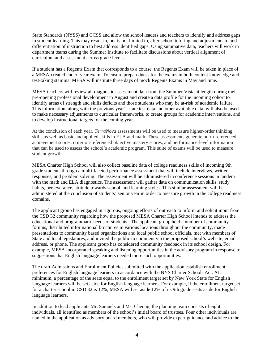State Standards (NYSS) and CCSS and allow the school leaders and teachers to identify and address gaps in student learning. This may result in, but is not limited to, after school tutoring and adjustments to and differentiation of instruction to best address identified gaps. Using summative data, teachers will work in department teams during the Summer Institute to facilitate discussions about vertical alignment of curriculum and assessment across grade levels.

If a student has a Regents Exam that corresponds to a course, the Regents Exam will be taken in place of a MESA-created end of year exam. To ensure preparedness for the exams in both content knowledge and test-taking stamina, MESA will institute three days of mock Regents Exams in May and June.

MESA teachers will review all diagnostic assessment data from the Summer Vista at length during their pre-opening professional development in August and create a data profile for the incoming cohort to identify areas of strength and skills deficits and those students who may be at-risk of academic failure. This information, along with the previous year's state test data and other available data, will also be used to make necessary adjustments to curricular frameworks, to create groups for academic interventions, and to develop instructional targets for the coming year.

At the conclusion of each year, *TerraNova* assessments will be used to measure higher-order thinking skills as well as basic and applied skills in ELA and math. These assessments generate norm-referenced achievement scores, criterion-referenced objective mastery scores, and performance-level information that can be used to assess the school's academic program. This suite of exams will be used to measure student growth.

MESA Charter High School will also collect baseline data of college readiness skills of incoming 9th grade students through a multi-faceted performance assessment that will include interviews, written responses, and problem solving. The assessment will be administered in conference sessions in tandem with the math and ELA diagnostics. The assessment will gather data on communication skills, study habits, perseverance, attitude towards school, and learning styles. This similar assessment will be administered at the conclusion of students' senior year in order to measure growth in the college readiness domains.

The applicant group has engaged in rigorous, ongoing efforts of outreach to inform and solicit input from the CSD 32 community regarding how the proposed MESA Charter High School intends to address the educational and programmatic needs of students. The applicant group held a number of community forums, distributed informational brochures in various locations throughout the community, made presentations to community based organizations and local public school officials, met with members of State and local legislatures, and invited the public to comment via the proposed school's website, email address, or phone. The applicant group has considered community feedback in its school design. For example, MESA incorporated speaking and listening opportunities in the advisory program in response to suggestions that English language learners needed more such opportunities.

The draft Admissions and Enrollment Policies submitted with the application establish enrollment preferences for English language learners in accordance with the NYS Charter Schools Act. At a minimum, a percentage of the seats equal to the enrollment target set by New York State for English language learners will be set aside for English language learners. For example, if the enrollment target set for a charter school in CSD 32 is 12%, MESA will set aside 12% of its 9th grade seats aside for English language learners.

In addition to lead applicants Mr. Samuels and Ms. Cheung, the planning team consists of eight individuals, all identified as members of the school's initial board of trustees. Four other individuals are named in the application as advisory board members, who will provide expert guidance and advice to the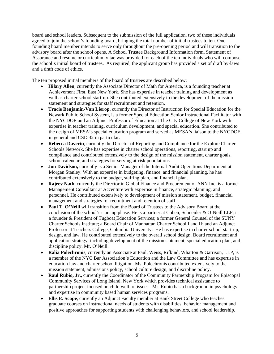board and school leaders. Subsequent to the submission of the full application, two of these individuals agreed to join the school's founding board, bringing the total number of initial trustees to ten. One founding board member intends to serve only throughout the pre-opening period and will transition to the advisory board after the school opens. A School Trustee Background Information form, Statement of Assurance and resume or curriculum vitae was provided for each of the ten individuals who will compose the school's initial board of trustees. As required, the applicant group has provided a set of draft by-laws and a draft code of ethics.

The ten proposed initial members of the board of trustees are described below:

- **Hilary Allen**, currently the Associate Director of Math for America, is a founding teacher at Achievement First, East New York. She has expertise in teacher training and development as well as charter school start-up. She contributed extensively to the development of the mission statement and strategies for staff recruitment and retention.
- **Tracie Benjamin-Van Lierop**, currently the Director of Instruction for Special Education for the Newark Public School System, is a former Special Education Senior Instructional Facilitator with the NYCDOE and an Adjunct Professor of Education at The City College of New York with expertise in teacher training, curriculum development, and special education. She contributed to the design of MESA's special education program and served as MESA's liaison to the NYCDOE in general and CSD 32 in particular.
- **Rebecca Daverin**, currently the Director of Reporting and Compliance for the Explore Charter Schools Network. She has expertise in charter school operations, reporting, start up and compliance and contributed extensively to the design of the mission statement, charter goals, school calendar, and strategies for serving at-risk populations.
- **Jon Davidson,** currently is a Senior Manager of the Internal Audit Operations Department at Morgan Stanley. With an expertise in budgeting, finance, and financial planning, he has contributed extensively to the budget, staffing plan, and financial plan.
- **Rajeev Nath**, currently the Director in Global Finance and Procurement of ANN Inc, is a former Management Consultant at Accenture with expertise in finance, strategic planning, and personnel. He contributed extensively to development of mission statement, budget, financial management and strategies for recruitment and retention of staff.
- **Paul T. O'Neill** will transition from the Board of Trustees to the Advisory Board at the conclusion of the school's start-up phase. He is a partner at Cohen, Schneider & O'Neill LLP; is a founder & President of Tugboat Education Services; a former General Counsel of the SUNY Charter Schools Institute; a Board Chair of Manhattan Charter School I and II; and an Adjunct Professor at Teachers College, Columbia University. He has expertise in charter school start-up, design, and law. He contributed extensively to the overall school design, Board recruitment and application strategy, including development of the mission statement, special education plan, and discipline policy. Mr. O'Neill.
- **Ralia Polechronis**, currently an Associate at Paul, Weiss, Rifkind, Wharton & Garrison, LLP, is a member of the NYC Bar Association's Education and the Law Committee and has expertise in education law and charter school litigation. Ms. Polechronis contributed extensively to the mission statement, admissions policy, school culture design, and discipline policy.
- **Raul Rubio, Jr.,** currently the Coordinator of the Community Partnership Program for Episcopal Community Services of Long Island, New York which provides technical assistance to partnership project focused on child welfare issues. Mr. Rubio has a background in psychology and expertise in community based human services programs.
- **Ellis E. Scope**, currently an Adjunct Faculty member at Bank Street College who teaches graduate courses on instructional needs of students with disabilities, behavior management and positive approaches for supporting students with challenging behaviors, and school leadership.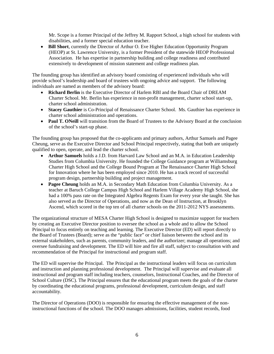Mr. Scope is a former Principal of the Jeffrey M. Rapport School, a high school for students with disabilities, and a former special education teacher.

• **Bill Short**, currently the Director of Arthur O. Eve Higher Education Opportunity Program (HEOP) at St. Lawrence University, is a former President of the statewide HEOP Professional Association. He has expertise in partnership building and college readiness and contributed extensively to development of mission statement and college readiness plan.

The founding group has identified an advisory board consisting of experienced individuals who will provide school's leadership and board of trustees with ongoing advice and support. The following individuals are named as members of the advisory board:

- **Richard Berlin** is the Executive Director of Harlem RBI and the Board Chair of DREAM Charter School. Mr. Berlin has experience in non-profit management, charter school start-up, charter school administration.
- **Stacey Gauthier** is Co-Principal of Renaissance Charter School. Ms. Gauthier has experience in charter school administration and operations.
- **Paul T. ONeill** will transition from the Board of Trustees to the Advisory Board at the conclusion of the school's start-up phase.

The founding group has proposed that the co-applicants and primary authors, Arthur Samuels and Pagee Cheung, serve as the Executive Director and School Principal respectively, stating that both are uniquely qualified to open, operate, and lead the charter school.

- **Arthur Samuels** holds a J.D. from Harvard Law School and an M.A. in Education Leadership Studies from Columbia University. He founded the College Guidance program at Williamsburg Charter High School and the College Bound Program at The Renaissance Charter High School for Innovation where he has been employed since 2010. He has a track record of successful program design, partnership building and project management.
- **Pagee Cheung** holds an M.A. in Secondary Math Education from Columbia University. As a teacher at Baruch College Campus High School and Harlem Village Academy High School, she had a 100% pass rate on the Integrated Algebra Regents Exam for every year she taught. She has also served as the Director of Operations, and now as the Dean of Instruction, at Brooklyn Ascend, which scored in the top ten of all charter schools on the 2011-2012 NYS assessments.

The organizational structure of MESA Charter High School is designed to maximize support for teachers by creating an Executive Director position to oversee the school as a whole and to allow the School Principal to focus entirely on teaching and learning. The Executive Director (ED) will report directly to the Board of Trustees (Board); serve as the "public face" or chief liaison between the school and its external stakeholders, such as parents, community leaders, and the authorizer; manage all operations; and oversee fundraising and development. The ED will hire and fire all staff, subject to consultation with and recommendation of the Principal for instructional and program staff.

The ED will supervise the Principal. The Principal as the instructional leaders will focus on curriculum and instruction and planning professional development. The Principal will supervise and evaluate all instructional and program staff including teachers, counselors, Instructional Coaches, and the Director of School Culture (DSC). The Principal ensures that the educational program meets the goals of the charter by coordinating the educational programs, professional development, curriculum design, and staff accountability.

The Director of Operations (DOO) is responsible for ensuring the effective management of the noninstructional functions of the school. The DOO manages admissions, facilities, student records, food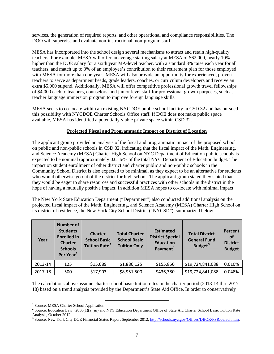services, the generation of required reports, and other operational and compliance responsibilities. The DOO will supervise and evaluate non-instructional, non-program staff.

MESA has incorporated into the school design several mechanisms to attract and retain high-quality teachers. For example, MESA will offer an average starting salary at MESA of \$62,000, nearly 10% higher than the DOE salary for a sixth year MA-level teacher, with a standard 3% raise each year for all teachers, and match up to 3% of an employee's contribution to their retirement plan for those employed with MESA for more than one year. MESA will also provide an opportunity for experienced, proven teachers to serve as department heads, grade leaders, coaches, or curriculum developers and receive an extra \$5,000 stipend. Additionally, MESA will offer competitive professional growth travel fellowships of \$4,000 each to teachers, counselors, and junior level staff for professional growth purposes, such as teacher language immersion program to improve foreign language skills.

MESA seeks to co-locate within an existing NYCDOE public school facility in CSD 32 and has pursued this possibility with NYCDOE Charter Schools Office staff. If DOE does not make public space available, MESA has identified a potentially viable private space within CSD 32.

# **Projected Fiscal and Programmatic Impact on District of Location**

The applicant group provided an analysis of the fiscal and programmatic impact of the proposed school on public and non-public schools in CSD 32, indicating that the fiscal impact of the Math, Engineering, and Science Academy (MESA) Charter High School on NYC Department of Education public schools is expected to be nominal (approximately 0.0346% of the total NYC Department of Education budget. The impact on student enrollment of other district and charter public and non-public schools in the Community School District is also expected to be minimal, as they expect to be an alternative for students who would otherwise go out of the district for high school. The applicant group stated they stated that they would be eager to share resources and successful practices with other schools in the district in the hope of having a mutually positive impact. In addition MESA hopes to co-locate with minimal impact.

The New York State Education Department ("Department") also conducted additional analysis on the projected fiscal impact of the Math, Engineering, and Science Academy (MESA) Charter High School on its district of residence, the New York City School District ("NYCSD"), summarized below.

| Year    | <b>Number of</b><br><b>Students</b><br><b>Enrolled in</b><br><b>Charter</b><br><b>Schools</b><br>Per Year <sup>1</sup> | <b>Charter</b><br><b>School Basic</b><br>Tuition Rate <sup>2</sup> | <b>Total Charter</b><br><b>School Basic</b><br><b>Tuition Only</b> | <b>Estimated</b><br><b>District Special</b><br><b>Education</b><br>Payment $1$ | <b>Total District</b><br><b>General Fund</b><br>Budget <sup>3</sup> | Percent<br>0f<br><b>District</b><br><b>Budget</b> |
|---------|------------------------------------------------------------------------------------------------------------------------|--------------------------------------------------------------------|--------------------------------------------------------------------|--------------------------------------------------------------------------------|---------------------------------------------------------------------|---------------------------------------------------|
| 2013-14 | 125                                                                                                                    | \$15,089                                                           | \$1,886,125                                                        | \$155,850                                                                      | \$19,724,841,088                                                    | 0.010%                                            |
| 2017-18 | 500                                                                                                                    | \$17,903                                                           | \$8,951,500                                                        | \$436,380                                                                      | \$19,724,841,088                                                    | 0.048%                                            |

The calculations above assume charter school basic tuition rates in the charter period (2013-14 thru 2017- 18) based on a trend analysis provided by the Department's State Aid Office. In order to conservatively

<sup>&</sup>lt;sup>1</sup> Source: MESA Cherter School Application <sup>1</sup> Source: MESA Charter School Application  $\frac{2}{3}$  Source: Education Law 82856(1)(0)(iii) and

<span id="page-7-1"></span><span id="page-7-0"></span><sup>&</sup>lt;sup>2</sup> Source: Education Law §2856(1)(a)(iii) and NYS Education Department Office of State Aid Charter School Basic Tuition Rate Analysis, October 2012.

<span id="page-7-2"></span><sup>&</sup>lt;sup>3</sup> Source: New York City DOE Financial Status Report September 2012; [http://schools.nyc.gov/Offices/DBOR/FSR/default.htm.](http://schools.nyc.gov/Offices/DBOR/FSR/default.htm)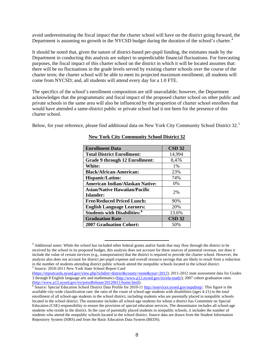avoid underestimating the fiscal impact that the charter school will have on the district going forward, the Department is assuming no growth in the NYCSD budget during the duration of the school's charter.<sup>[4](#page-8-0)</sup>

It should be noted that, given the nature of district-based per-pupil funding, the estimates made by the Department in conducting this analysis are subject to unpredictable financial fluctuations. For forecasting purposes, the fiscal impact of this charter school on the district in which it will be located assumes that: there will be no fluctuations in the grade levels served by existing charter schools over the course of the charter term; the charter school will be able to meet its projected maximum enrollment; all students will come from NYCSD; and, all students will attend every day for a 1.0 FTE.

The specifics of the school's enrollment composition are still unavailable; however, the Department acknowledges that the programmatic and fiscal impact of the proposed charter school on other public and private schools in the same area will also be influenced by the proportion of charter school enrollees that would have attended a same-district public or private school had it not been for the presence of this charter school.

Below, for your reference, please find additional data on New York City Community School District 32.<sup>[5](#page-8-1)</sup>

| <b>Enrollment Data</b>                          | $CSD$ 32 |  |
|-------------------------------------------------|----------|--|
| <b>Total District Enrollment:</b>               | 14,994   |  |
| <b>Grade 9 through 12 Enrollment:</b>           | 8,476    |  |
| <b>White:</b>                                   | 1%       |  |
| <b>Black/African-American:</b>                  | 23%      |  |
| <b>Hispanic/Latino:</b>                         | 74%      |  |
| <b>American Indian/Alaskan Native:</b>          | $0\%$    |  |
| <b>Asian/Native Hawaiian/Pacific</b>            | 2%       |  |
| Islander:                                       |          |  |
| <b>Free/Reduced Priced Lunch:</b>               | 90%      |  |
| <b>English Language Learners:</b>               | 20%      |  |
| <b>Students with Disabilities:</b> <sup>6</sup> | 13.6%    |  |
| <b>Graduation Rate</b>                          | $CSD$ 32 |  |
| <b>2007 Graduation Cohort:</b>                  | 50%      |  |

#### **New York City Community School District 32**

<span id="page-8-0"></span> <sup>4</sup> Additional notes: While the school has included other federal grants and/or funds that may flow through the district to be received by the school in its proposed budget, this analysis does not account for these sources of potential revenue, nor does it include the value of certain services (e.g., transportation) that the district is required to provide the charter school. However, the analysis also does not account for district per-pupil expense and overall resource savings that are likely to result from a reduction in the number of students attending district public schools attend the nonpublic schools located in the school district. 5 <sup>5</sup> Source: 2010-2011 New York State School Report Card

<span id="page-8-1"></span><sup>(</sup>[https://reportcards.nysed.gov/view.php?schdist=district&county=none&year=2011\)](https://reportcards.nysed.gov/view.php?schdist=district&county=none&year=2011); 2011-2012 state assessment data for Grades 3 through 8 English language arts and mathematics [\(http://www.p12.nysed.gov/irs/ela-math/](http://www.p12.nysed.gov/irs/ela-math/)); 2007 cohort graduation rates

<span id="page-8-2"></span>[<sup>\(</sup>http://www.p12.nysed.gov/irs/pressRelease/20120611/home.html\)](http://www.p12.nysed.gov/irs/pressRelease/20120611/home.html).<br><sup>6</sup> Source: Special Education School District Data Profile for 2010-11<http://eservices.nysed.gov/sepubrep/>. This figure is the available city-wide classification rate: the ratio of the count of school-age students with disabilities (ages 4-21) to the total enrollment of all school-age students in the school district, including students who are parentally placed in nonpublic schools located in the school district. The numerator includes all school-age students for whom a district has Committee on Special Education (CSE) responsibility to ensure the provision of special education services. The denominator includes all school-age students who reside in the district. In the case of parentally placed students in nonpublic schools, it includes the number of students who attend the nonpublic schools located in the school district. Source data are drawn from the Student Information Repository System (SIRS) and from the Basic Education Data System (BEDS).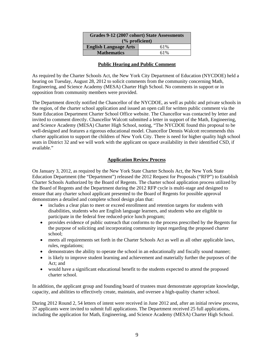| Grades 9-12 (2007 cohort) State Assessments |     |  |  |  |
|---------------------------------------------|-----|--|--|--|
| $\frac{6}{6}$ proficient)                   |     |  |  |  |
| <b>English Language Arts</b>                | 61% |  |  |  |
| <b>Mathematics</b>                          | 61% |  |  |  |

#### **Public Hearing and Public Comment**

As required by the Charter Schools Act, the New York City Department of Education (NYCDOE) held a hearing on Tuesday, August 28, 2012 to solicit comments from the community concerning Math, Engineering, and Science Academy (MESA) Charter High School. No comments in support or in opposition from community members were provided.

The Department directly notified the Chancellor of the NYCDOE, as well as public and private schools in the region, of the charter school application and issued an open call for written public comment via the State Education Department Charter School Office website. The Chancellor was contacted by letter and invited to comment directly. Chancellor Walcott submitted a letter in support of the Math, Engineering, and Science Academy (MESA) Charter High School, noting, "The NYCDOE found this proposal to be well-designed and features a rigorous educational model. Chancellor Dennis Walcott recommends this charter application to support the children of New York City. There is need for higher quality high school seats in District 32 and we will work with the applicant on space availability in their identified CSD, if available."

# **Application Review Process**

On January 3, 2012, as required by the New York State Charter Schools Act, the New York State Education Department (the "Department") released the 2012 Request for Proposals ("RFP") to Establish Charter Schools Authorized by the Board of Regents. The charter school application process utilized by the Board of Regents and the Department during the 2012 RFP cycle is multi-stage and designed to ensure that any charter school applicant presented to the Board of Regents for possible approval demonstrates a detailed and complete school design plan that:

- includes a clear plan to meet or exceed enrollment and retention targets for students with disabilities, students who are English language learners, and students who are eligible to participate in the federal free reduced-price lunch program;
- provides evidence of public outreach that conforms to the process prescribed by the Regents for the purpose of soliciting and incorporating community input regarding the proposed charter school;
- meets all requirements set forth in the Charter Schools Act as well as all other applicable laws, rules, regulations;
- demonstrates the ability to operate the school in an educationally and fiscally sound manner;
- is likely to improve student learning and achievement and materially further the purposes of the Act; and
- would have a significant educational benefit to the students expected to attend the proposed charter school.

In addition, the applicant group and founding board of trustees must demonstrate appropriate knowledge, capacity, and abilities to effectively create, maintain, and oversee a high-quality charter school.

During 2012 Round 2, 54 letters of intent were received in June 2012 and, after an initial review process, 37 applicants were invited to submit full applications. The Department received 25 full applications, including the application for Math, Engineering, and Science Academy (MESA) Charter High School.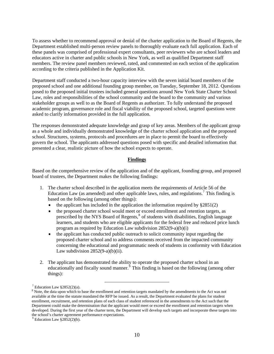To assess whether to recommend approval or denial of the charter application to the Board of Regents, the Department established multi-person review panels to thoroughly evaluate each full application. Each of these panels was comprised of professional expert consultants, peer reviewers who are school leaders and educators active in charter and public schools in New York, as well as qualified Department staff members. The review panel members reviewed, rated, and commented on each section of the application according to the criteria published in the Application Kit.

Department staff conducted a two-hour capacity interview with the seven initial board members of the proposed school and one additional founding group member, on Tuesday, September 18, 2012. Questions posed to the proposed initial trustees included general questions around New York State Charter School Law, roles and responsibilities of the school community and the board to the community and various stakeholder groups as well to as the Board of Regents as authorizer. To fully understand the proposed academic program, governance role and fiscal viability of the proposed school, targeted questions were asked to clarify information provided in the full application.

The responses demonstrated adequate knowledge and grasp of key areas. Members of the applicant group as a whole and individually demonstrated knowledge of the charter school application and the proposed school. Structures, systems, protocols and procedures are in place to permit the board to effectively govern the school. The applicants addressed questions posed with specific and detailed information that presented a clear, realistic picture of how the school expects to operate.

# **Findings**

Based on the comprehensive review of the application and of the applicant, founding group, and proposed board of trustees, the Department makes the following findings:

- 1. The charter school described in the application meets the requirements of Article 56 of the Education Law (as amended) and other applicable laws, rules, and regulations.<sup>[7](#page-10-0)</sup> This finding is based on the following (among other things):
	- the applicant has included in the application the information required by  $\S 2851(2)$
	- the proposed charter school would meet or exceed enrollment and retention targets, as prescribed by the NYS Board of Regents,<sup>[8](#page-10-1)</sup> of students with disabilities, English language learners, and students who are eligible applicants for the federal free and reduced price lunch program as required by Education Law subdivision 2852(9-a)(b)(i)
	- the applicant has conducted public outreach to solicit community input regarding the proposed charter school and to address comments received from the impacted community concerning the educational and programmatic needs of students in conformity with Education Law subdivision  $2852(9-a)(b)(ii)$ .
- 2. The applicant has demonstrated the ability to operate the proposed charter school in an educationally and fiscally sound manner.<sup>§</sup> This finding is based on the following (among other things):

 $^7$  Education Law §2852(2)(a).

<span id="page-10-1"></span><span id="page-10-0"></span><sup>&</sup>lt;sup>8</sup> Note, the data upon which to base the enrollment and retention targets mandated by the amendments to the Act was not available at the time the statute mandated the RFP be issued. As a result, the Department evaluated the plans for student enrollment, recruitment, and retention plans of each class of student referenced in the amendments to the Act such that the Department could make the determination that the applicant would meet or exceed the enrollment and retention targets when developed. During the first year of the charter term, the Department will develop such targets and incorporate these targets into the school's charter agreement performance expectations.

<span id="page-10-2"></span> $9$  Education Law  $$2852(2)(b)$ .